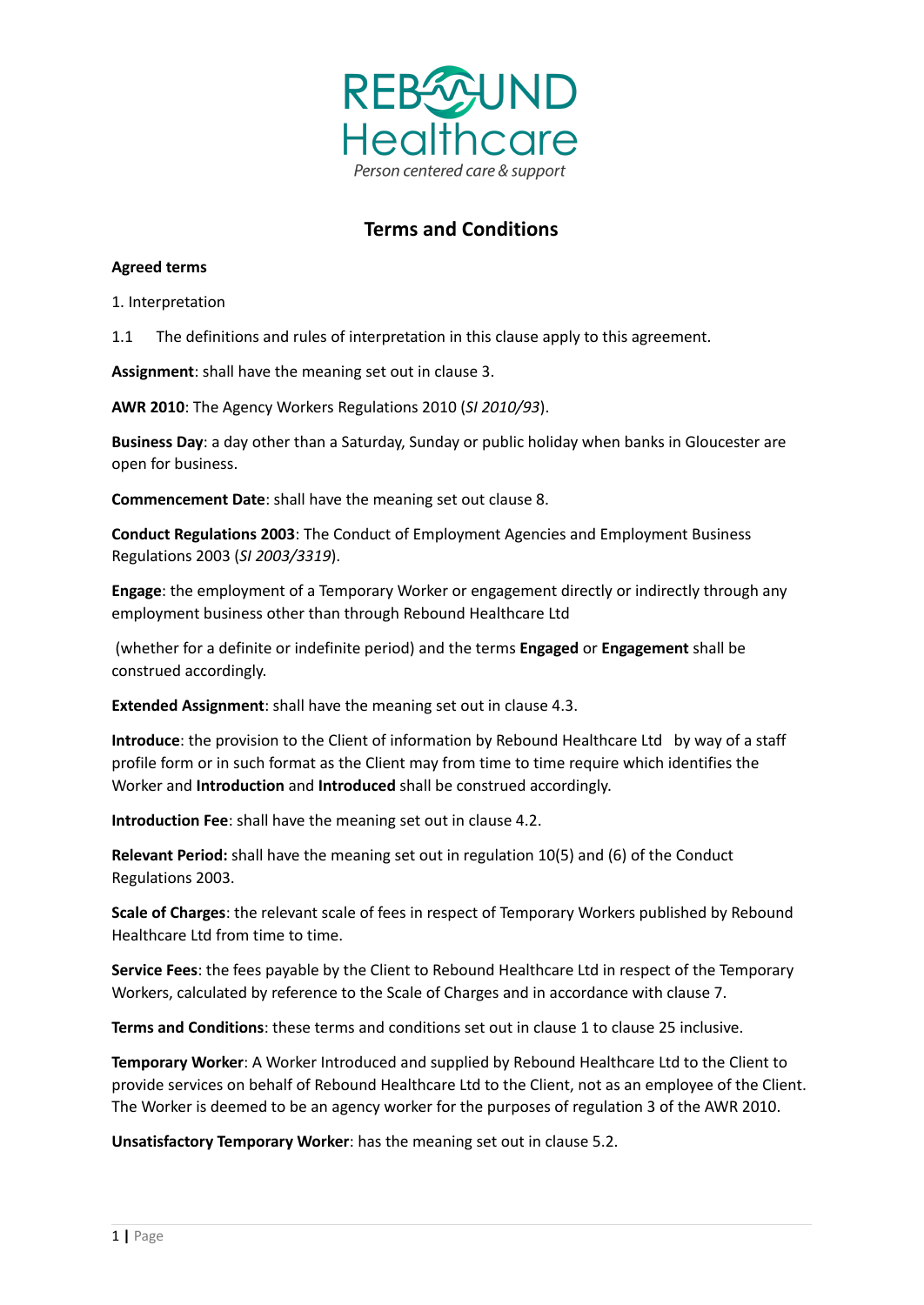

# **Terms and Conditions**

#### **Agreed terms**

1. Interpretation

1.1 The definitions and rules of interpretation in this clause apply to this agreement.

**Assignment**: shall have the meaning set out in clause 3.

**AWR 2010**: The Agency Workers Regulations 2010 (*SI 2010/93*).

**Business Day**: a day other than a Saturday, Sunday or public holiday when banks in Gloucester are open for business.

**Commencement Date**: shall have the meaning set out clause 8.

**Conduct Regulations 2003**: The Conduct of Employment Agencies and Employment Business Regulations 2003 (*SI 2003/3319*).

**Engage**: the employment of a Temporary Worker or engagement directly or indirectly through any employment business other than through Rebound Healthcare Ltd

(whether for a definite or indefinite period) and the terms **Engaged** or **Engagement** shall be construed accordingly.

**Extended Assignment**: shall have the meaning set out in clause 4.3.

**Introduce**: the provision to the Client of information by Rebound Healthcare Ltd by way of a staff profile form or in such format as the Client may from time to time require which identifies the Worker and **Introduction** and **Introduced** shall be construed accordingly.

**Introduction Fee**: shall have the meaning set out in clause 4.2.

**Relevant Period:** shall have the meaning set out in regulation 10(5) and (6) of the Conduct Regulations 2003.

**Scale of Charges**: the relevant scale of fees in respect of Temporary Workers published by Rebound Healthcare Ltd from time to time.

**Service Fees**: the fees payable by the Client to Rebound Healthcare Ltd in respect of the Temporary Workers, calculated by reference to the Scale of Charges and in accordance with clause 7.

**Terms and Conditions**: these terms and conditions set out in clause 1 to clause 25 inclusive.

**Temporary Worker**: A Worker Introduced and supplied by Rebound Healthcare Ltd to the Client to provide services on behalf of Rebound Healthcare Ltd to the Client, not as an employee of the Client. The Worker is deemed to be an agency worker for the purposes of regulation 3 of the AWR 2010.

**Unsatisfactory Temporary Worker**: has the meaning set out in clause 5.2.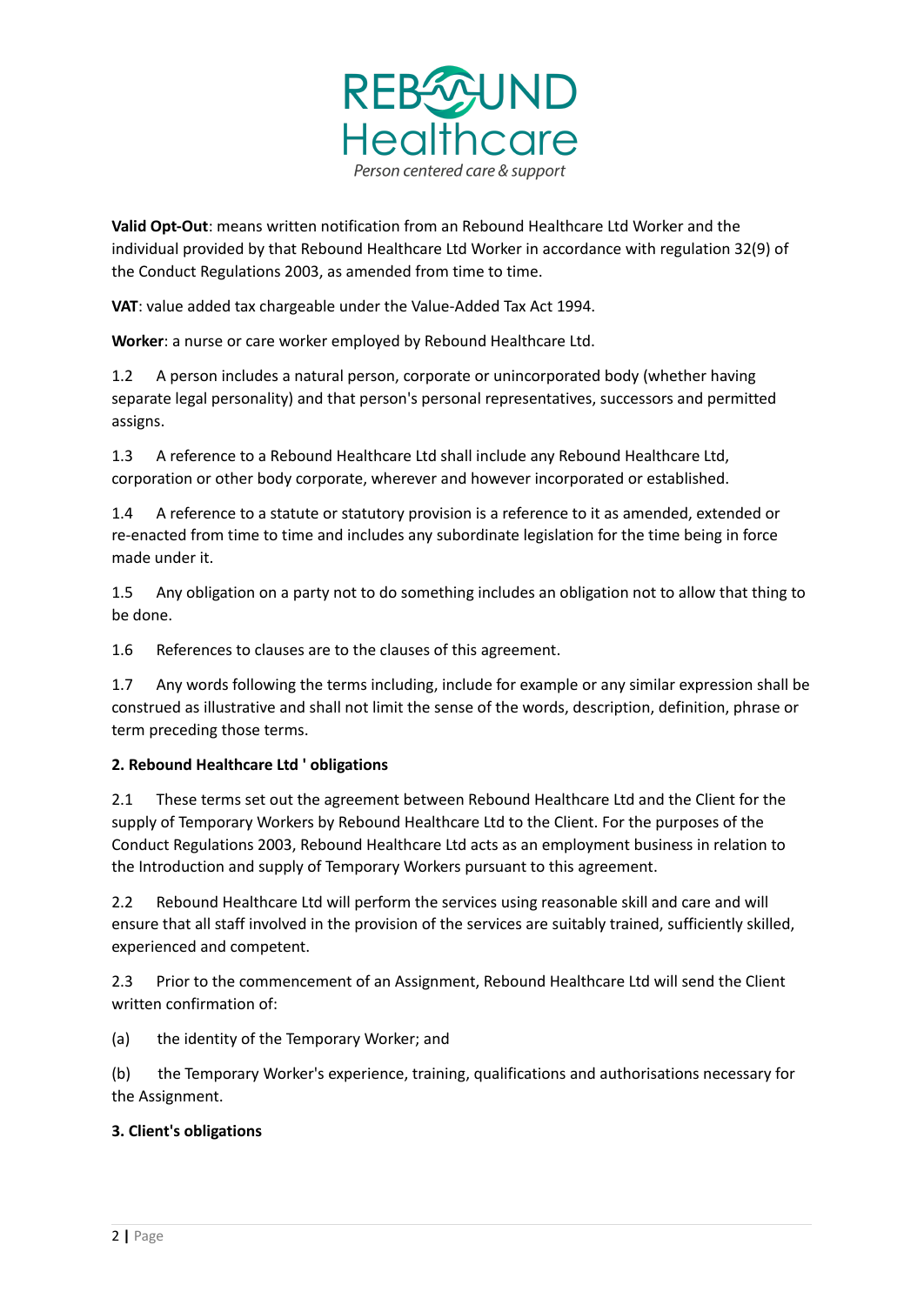

**Valid Opt-Out**: means written notification from an Rebound Healthcare Ltd Worker and the individual provided by that Rebound Healthcare Ltd Worker in accordance with regulation 32(9) of the Conduct Regulations 2003, as amended from time to time.

**VAT**: value added tax chargeable under the Value-Added Tax Act 1994.

**Worker**: a nurse or care worker employed by Rebound Healthcare Ltd.

1.2 A person includes a natural person, corporate or unincorporated body (whether having separate legal personality) and that person's personal representatives, successors and permitted assigns.

1.3 A reference to a Rebound Healthcare Ltd shall include any Rebound Healthcare Ltd, corporation or other body corporate, wherever and however incorporated or established.

1.4 A reference to a statute or statutory provision is a reference to it as amended, extended or re-enacted from time to time and includes any subordinate legislation for the time being in force made under it.

1.5 Any obligation on a party not to do something includes an obligation not to allow that thing to be done.

1.6 References to clauses are to the clauses of this agreement.

1.7 Any words following the terms including, include for example or any similar expression shall be construed as illustrative and shall not limit the sense of the words, description, definition, phrase or term preceding those terms.

# **2. Rebound Healthcare Ltd ' obligations**

2.1 These terms set out the agreement between Rebound Healthcare Ltd and the Client for the supply of Temporary Workers by Rebound Healthcare Ltd to the Client. For the purposes of the Conduct Regulations 2003, Rebound Healthcare Ltd acts as an employment business in relation to the Introduction and supply of Temporary Workers pursuant to this agreement.

2.2 Rebound Healthcare Ltd will perform the services using reasonable skill and care and will ensure that all staff involved in the provision of the services are suitably trained, sufficiently skilled, experienced and competent.

2.3 Prior to the commencement of an Assignment, Rebound Healthcare Ltd will send the Client written confirmation of:

(a) the identity of the Temporary Worker; and

(b) the Temporary Worker's experience, training, qualifications and authorisations necessary for the Assignment.

# **3. Client's obligations**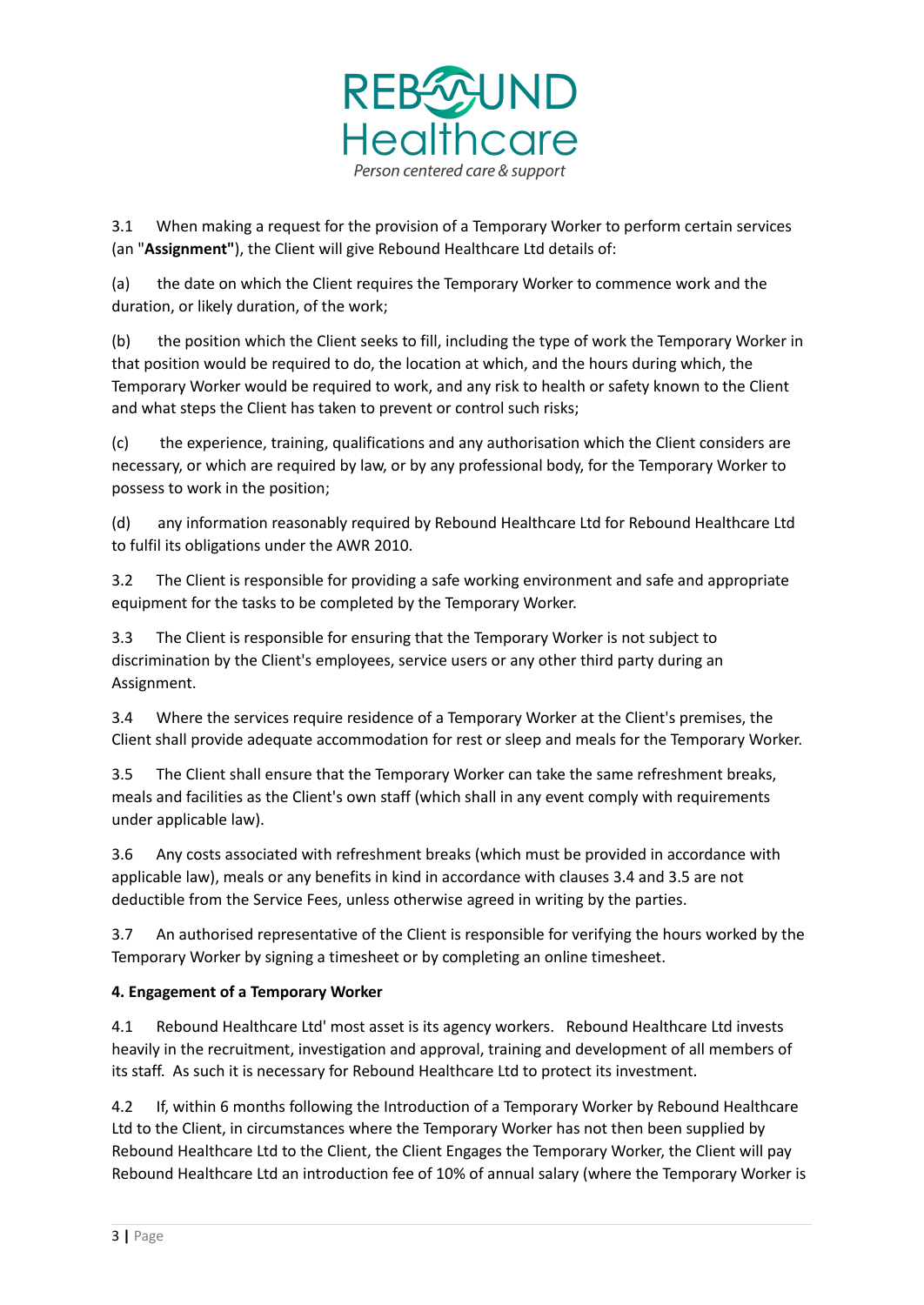

3.1 When making a request for the provision of a Temporary Worker to perform certain services (an "**Assignment"**), the Client will give Rebound Healthcare Ltd details of:

(a) the date on which the Client requires the Temporary Worker to commence work and the duration, or likely duration, of the work;

(b) the position which the Client seeks to fill, including the type of work the Temporary Worker in that position would be required to do, the location at which, and the hours during which, the Temporary Worker would be required to work, and any risk to health or safety known to the Client and what steps the Client has taken to prevent or control such risks;

(c) the experience, training, qualifications and any authorisation which the Client considers are necessary, or which are required by law, or by any professional body, for the Temporary Worker to possess to work in the position;

(d) any information reasonably required by Rebound Healthcare Ltd for Rebound Healthcare Ltd to fulfil its obligations under the AWR 2010.

3.2 The Client is responsible for providing a safe working environment and safe and appropriate equipment for the tasks to be completed by the Temporary Worker.

3.3 The Client is responsible for ensuring that the Temporary Worker is not subject to discrimination by the Client's employees, service users or any other third party during an Assignment.

3.4 Where the services require residence of a Temporary Worker at the Client's premises, the Client shall provide adequate accommodation for rest or sleep and meals for the Temporary Worker.

3.5 The Client shall ensure that the Temporary Worker can take the same refreshment breaks, meals and facilities as the Client's own staff (which shall in any event comply with requirements under applicable law).

3.6 Any costs associated with refreshment breaks (which must be provided in accordance with applicable law), meals or any benefits in kind in accordance with clauses 3.4 and 3.5 are not deductible from the Service Fees, unless otherwise agreed in writing by the parties.

3.7 An authorised representative of the Client is responsible for verifying the hours worked by the Temporary Worker by signing a timesheet or by completing an online timesheet.

# **4. Engagement of a Temporary Worker**

4.1 Rebound Healthcare Ltd' most asset is its agency workers. Rebound Healthcare Ltd invests heavily in the recruitment, investigation and approval, training and development of all members of its staff. As such it is necessary for Rebound Healthcare Ltd to protect its investment.

4.2 If, within 6 months following the Introduction of a Temporary Worker by Rebound Healthcare Ltd to the Client, in circumstances where the Temporary Worker has not then been supplied by Rebound Healthcare Ltd to the Client, the Client Engages the Temporary Worker, the Client will pay Rebound Healthcare Ltd an introduction fee of 10% of annual salary (where the Temporary Worker is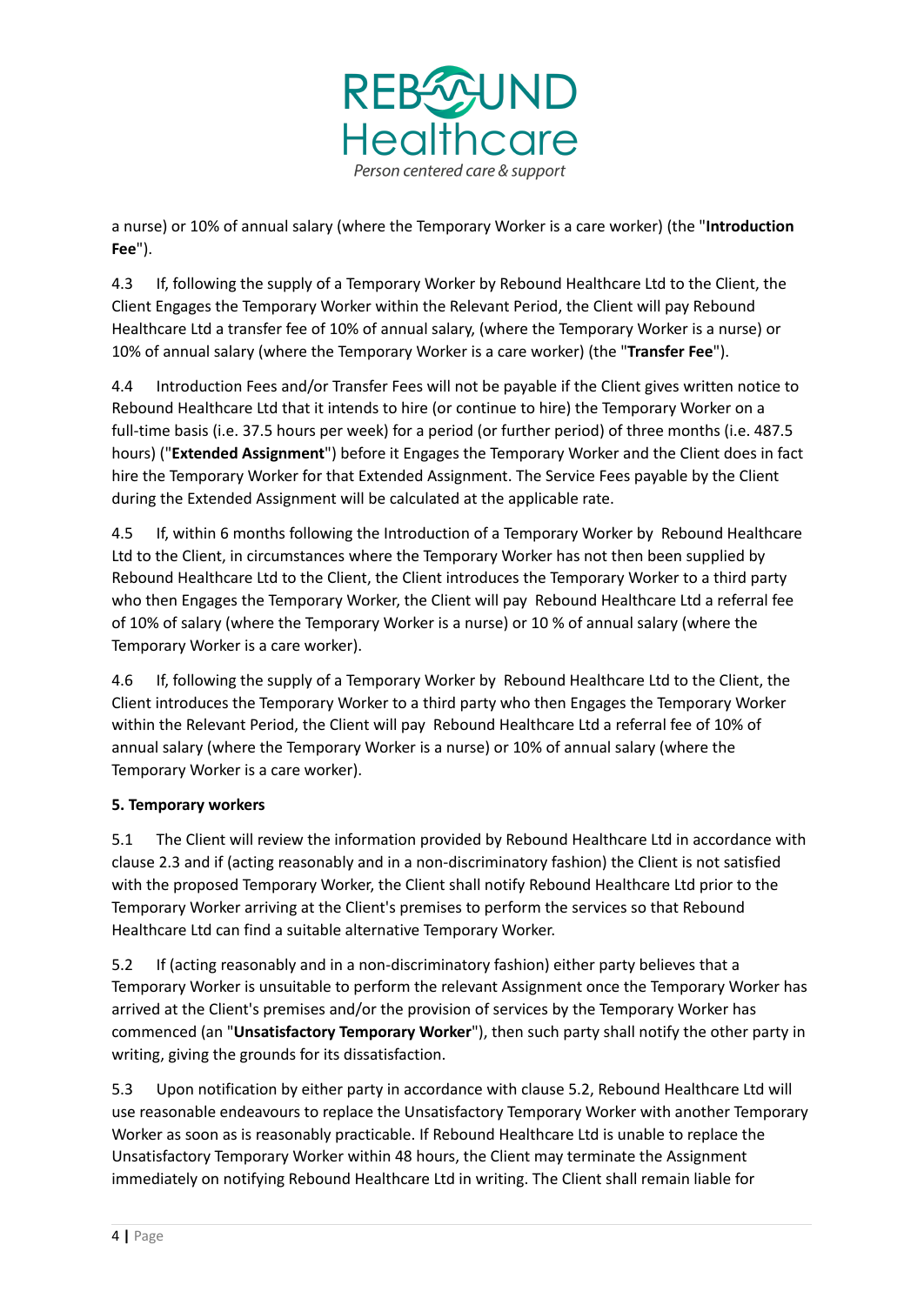

a nurse) or 10% of annual salary (where the Temporary Worker is a care worker) (the "**Introduction Fee**").

4.3 If, following the supply of a Temporary Worker by Rebound Healthcare Ltd to the Client, the Client Engages the Temporary Worker within the Relevant Period, the Client will pay Rebound Healthcare Ltd a transfer fee of 10% of annual salary, (where the Temporary Worker is a nurse) or 10% of annual salary (where the Temporary Worker is a care worker) (the "**Transfer Fee**").

4.4 Introduction Fees and/or Transfer Fees will not be payable if the Client gives written notice to Rebound Healthcare Ltd that it intends to hire (or continue to hire) the Temporary Worker on a full-time basis (i.e. 37.5 hours per week) for a period (or further period) of three months (i.e. 487.5 hours) ("**Extended Assignment**") before it Engages the Temporary Worker and the Client does in fact hire the Temporary Worker for that Extended Assignment. The Service Fees payable by the Client during the Extended Assignment will be calculated at the applicable rate.

4.5 If, within 6 months following the Introduction of a Temporary Worker by Rebound Healthcare Ltd to the Client, in circumstances where the Temporary Worker has not then been supplied by Rebound Healthcare Ltd to the Client, the Client introduces the Temporary Worker to a third party who then Engages the Temporary Worker, the Client will pay Rebound Healthcare Ltd a referral fee of 10% of salary (where the Temporary Worker is a nurse) or 10 % of annual salary (where the Temporary Worker is a care worker).

4.6 If, following the supply of a Temporary Worker by Rebound Healthcare Ltd to the Client, the Client introduces the Temporary Worker to a third party who then Engages the Temporary Worker within the Relevant Period, the Client will pay Rebound Healthcare Ltd a referral fee of 10% of annual salary (where the Temporary Worker is a nurse) or 10% of annual salary (where the Temporary Worker is a care worker).

# **5. Temporary workers**

5.1 The Client will review the information provided by Rebound Healthcare Ltd in accordance with clause 2.3 and if (acting reasonably and in a non-discriminatory fashion) the Client is not satisfied with the proposed Temporary Worker, the Client shall notify Rebound Healthcare Ltd prior to the Temporary Worker arriving at the Client's premises to perform the services so that Rebound Healthcare Ltd can find a suitable alternative Temporary Worker.

5.2 If (acting reasonably and in a non-discriminatory fashion) either party believes that a Temporary Worker is unsuitable to perform the relevant Assignment once the Temporary Worker has arrived at the Client's premises and/or the provision of services by the Temporary Worker has commenced (an "**Unsatisfactory Temporary Worker**"), then such party shall notify the other party in writing, giving the grounds for its dissatisfaction.

5.3 Upon notification by either party in accordance with clause 5.2, Rebound Healthcare Ltd will use reasonable endeavours to replace the Unsatisfactory Temporary Worker with another Temporary Worker as soon as is reasonably practicable. If Rebound Healthcare Ltd is unable to replace the Unsatisfactory Temporary Worker within 48 hours, the Client may terminate the Assignment immediately on notifying Rebound Healthcare Ltd in writing. The Client shall remain liable for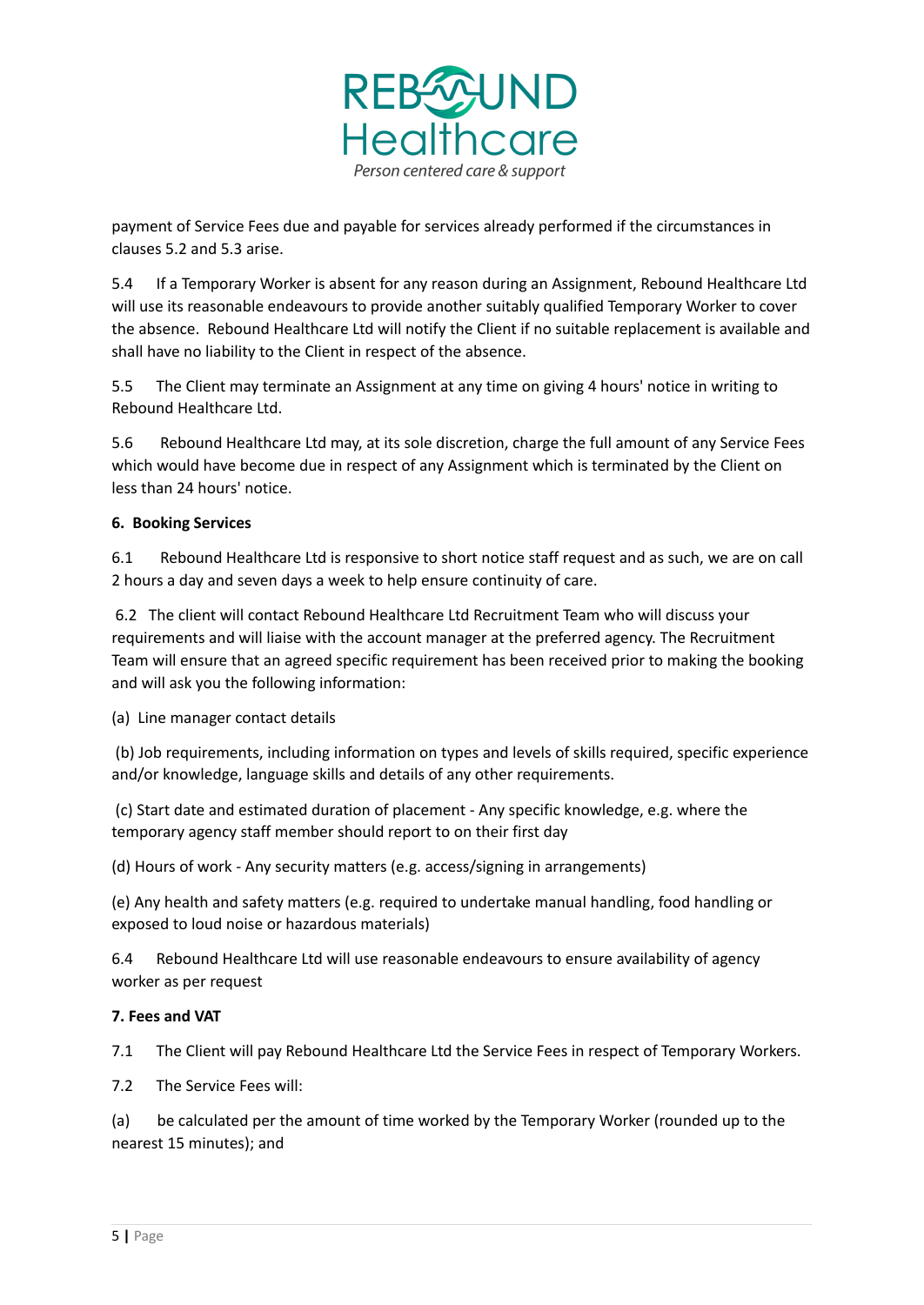

payment of Service Fees due and payable for services already performed if the circumstances in clauses 5.2 and 5.3 arise.

5.4 If a Temporary Worker is absent for any reason during an Assignment, Rebound Healthcare Ltd will use its reasonable endeavours to provide another suitably qualified Temporary Worker to cover the absence. Rebound Healthcare Ltd will notify the Client if no suitable replacement is available and shall have no liability to the Client in respect of the absence.

5.5 The Client may terminate an Assignment at any time on giving 4 hours' notice in writing to Rebound Healthcare Ltd.

5.6 Rebound Healthcare Ltd may, at its sole discretion, charge the full amount of any Service Fees which would have become due in respect of any Assignment which is terminated by the Client on less than 24 hours' notice.

# **6. Booking Services**

6.1 Rebound Healthcare Ltd is responsive to short notice staff request and as such, we are on call 2 hours a day and seven days a week to help ensure continuity of care.

6.2 The client will contact Rebound Healthcare Ltd Recruitment Team who will discuss your requirements and will liaise with the account manager at the preferred agency. The Recruitment Team will ensure that an agreed specific requirement has been received prior to making the booking and will ask you the following information:

(a) Line manager contact details

(b) Job requirements, including information on types and levels of skills required, specific experience and/or knowledge, language skills and details of any other requirements.

(c) Start date and estimated duration of placement - Any specific knowledge, e.g. where the temporary agency staff member should report to on their first day

(d) Hours of work - Any security matters (e.g. access/signing in arrangements)

(e) Any health and safety matters (e.g. required to undertake manual handling, food handling or exposed to loud noise or hazardous materials)

6.4 Rebound Healthcare Ltd will use reasonable endeavours to ensure availability of agency worker as per request

#### **7. Fees and VAT**

7.1 The Client will pay Rebound Healthcare Ltd the Service Fees in respect of Temporary Workers.

7.2 The Service Fees will:

(a) be calculated per the amount of time worked by the Temporary Worker (rounded up to the nearest 15 minutes); and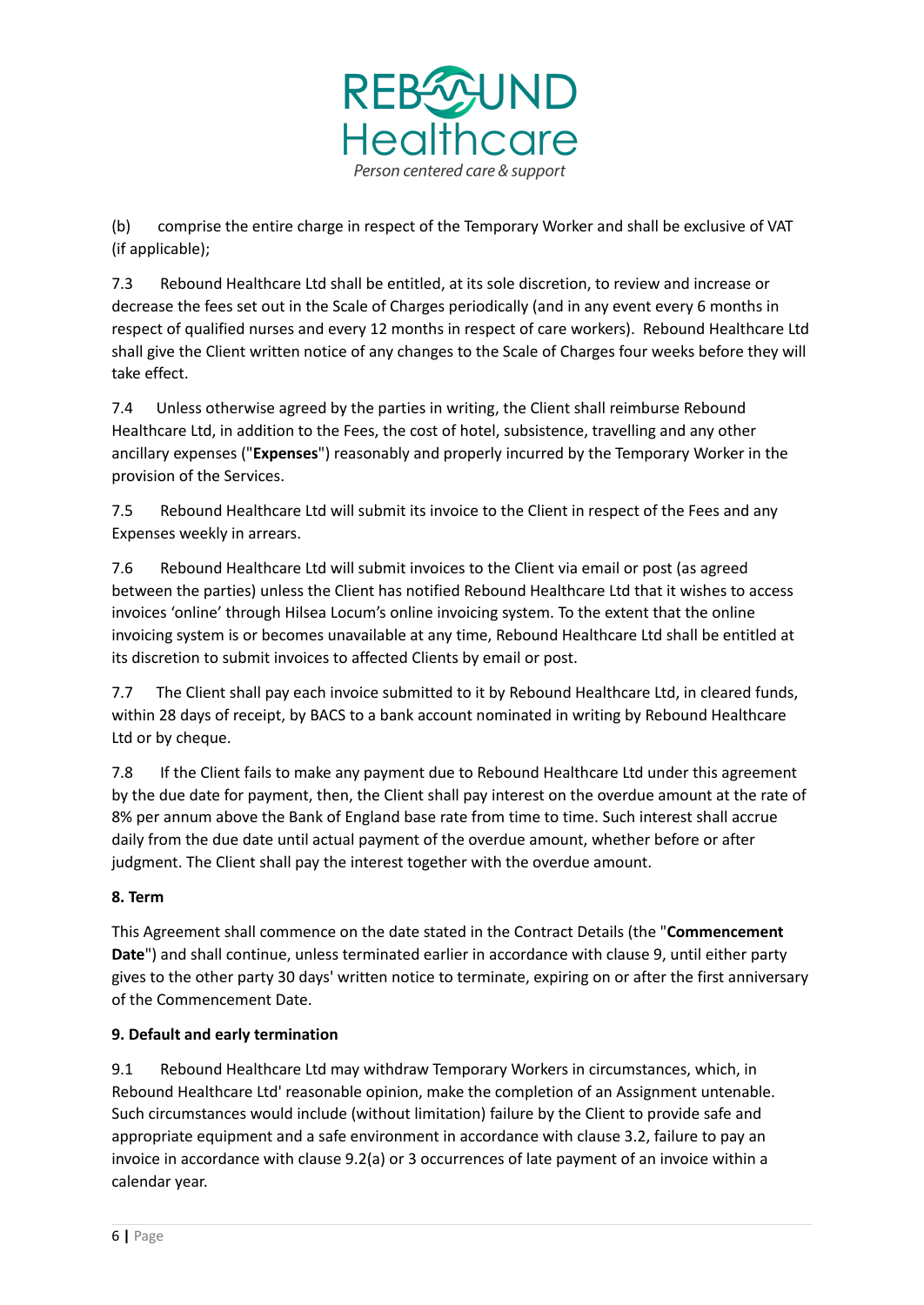

(b) comprise the entire charge in respect of the Temporary Worker and shall be exclusive of VAT (if applicable);

7.3 Rebound Healthcare Ltd shall be entitled, at its sole discretion, to review and increase or decrease the fees set out in the Scale of Charges periodically (and in any event every 6 months in respect of qualified nurses and every 12 months in respect of care workers). Rebound Healthcare Ltd shall give the Client written notice of any changes to the Scale of Charges four weeks before they will take effect.

7.4 Unless otherwise agreed by the parties in writing, the Client shall reimburse Rebound Healthcare Ltd, in addition to the Fees, the cost of hotel, subsistence, travelling and any other ancillary expenses ("**Expenses**") reasonably and properly incurred by the Temporary Worker in the provision of the Services.

7.5 Rebound Healthcare Ltd will submit its invoice to the Client in respect of the Fees and any Expenses weekly in arrears.

7.6 Rebound Healthcare Ltd will submit invoices to the Client via email or post (as agreed between the parties) unless the Client has notified Rebound Healthcare Ltd that it wishes to access invoices 'online' through Hilsea Locum's online invoicing system. To the extent that the online invoicing system is or becomes unavailable at any time, Rebound Healthcare Ltd shall be entitled at its discretion to submit invoices to affected Clients by email or post.

7.7 The Client shall pay each invoice submitted to it by Rebound Healthcare Ltd, in cleared funds, within 28 days of receipt, by BACS to a bank account nominated in writing by Rebound Healthcare Ltd or by cheque.

7.8 If the Client fails to make any payment due to Rebound Healthcare Ltd under this agreement by the due date for payment, then, the Client shall pay interest on the overdue amount at the rate of 8% per annum above the Bank of England base rate from time to time. Such interest shall accrue daily from the due date until actual payment of the overdue amount, whether before or after judgment. The Client shall pay the interest together with the overdue amount.

# **8. Term**

This Agreement shall commence on the date stated in the Contract Details (the "**Commencement Date**") and shall continue, unless terminated earlier in accordance with clause 9, until either party gives to the other party 30 days' written notice to terminate, expiring on or after the first anniversary of the Commencement Date.

# **9. Default and early termination**

9.1 Rebound Healthcare Ltd may withdraw Temporary Workers in circumstances, which, in Rebound Healthcare Ltd' reasonable opinion, make the completion of an Assignment untenable. Such circumstances would include (without limitation) failure by the Client to provide safe and appropriate equipment and a safe environment in accordance with clause 3.2, failure to pay an invoice in accordance with clause 9.2(a) or 3 occurrences of late payment of an invoice within a calendar year.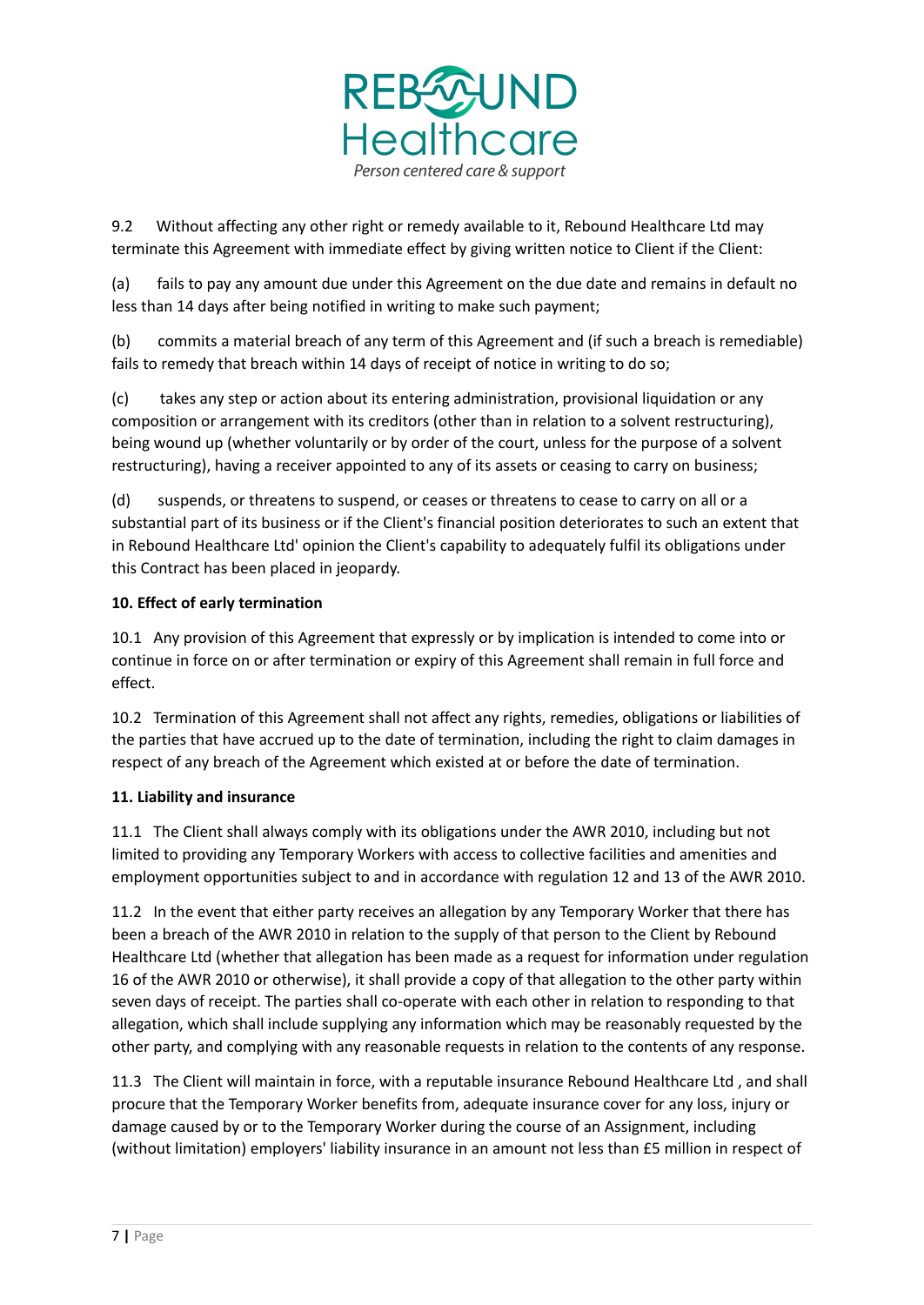

9.2 Without affecting any other right or remedy available to it, Rebound Healthcare Ltd may terminate this Agreement with immediate effect by giving written notice to Client if the Client:

(a) fails to pay any amount due under this Agreement on the due date and remains in default no less than 14 days after being notified in writing to make such payment;

(b) commits a material breach of any term of this Agreement and (if such a breach is remediable) fails to remedy that breach within 14 days of receipt of notice in writing to do so;

(c) takes any step or action about its entering administration, provisional liquidation or any composition or arrangement with its creditors (other than in relation to a solvent restructuring), being wound up (whether voluntarily or by order of the court, unless for the purpose of a solvent restructuring), having a receiver appointed to any of its assets or ceasing to carry on business;

(d) suspends, or threatens to suspend, or ceases or threatens to cease to carry on all or a substantial part of its business or if the Client's financial position deteriorates to such an extent that in Rebound Healthcare Ltd' opinion the Client's capability to adequately fulfil its obligations under this Contract has been placed in jeopardy.

# **10. Effect of early termination**

10.1 Any provision of this Agreement that expressly or by implication is intended to come into or continue in force on or after termination or expiry of this Agreement shall remain in full force and effect.

10.2 Termination of this Agreement shall not affect any rights, remedies, obligations or liabilities of the parties that have accrued up to the date of termination, including the right to claim damages in respect of any breach of the Agreement which existed at or before the date of termination.

# **11. Liability and insurance**

11.1 The Client shall always comply with its obligations under the AWR 2010, including but not limited to providing any Temporary Workers with access to collective facilities and amenities and employment opportunities subject to and in accordance with regulation 12 and 13 of the AWR 2010.

11.2 In the event that either party receives an allegation by any Temporary Worker that there has been a breach of the AWR 2010 in relation to the supply of that person to the Client by Rebound Healthcare Ltd (whether that allegation has been made as a request for information under regulation 16 of the AWR 2010 or otherwise), it shall provide a copy of that allegation to the other party within seven days of receipt. The parties shall co-operate with each other in relation to responding to that allegation, which shall include supplying any information which may be reasonably requested by the other party, and complying with any reasonable requests in relation to the contents of any response.

11.3 The Client will maintain in force, with a reputable insurance Rebound Healthcare Ltd , and shall procure that the Temporary Worker benefits from, adequate insurance cover for any loss, injury or damage caused by or to the Temporary Worker during the course of an Assignment, including (without limitation) employers' liability insurance in an amount not less than £5 million in respect of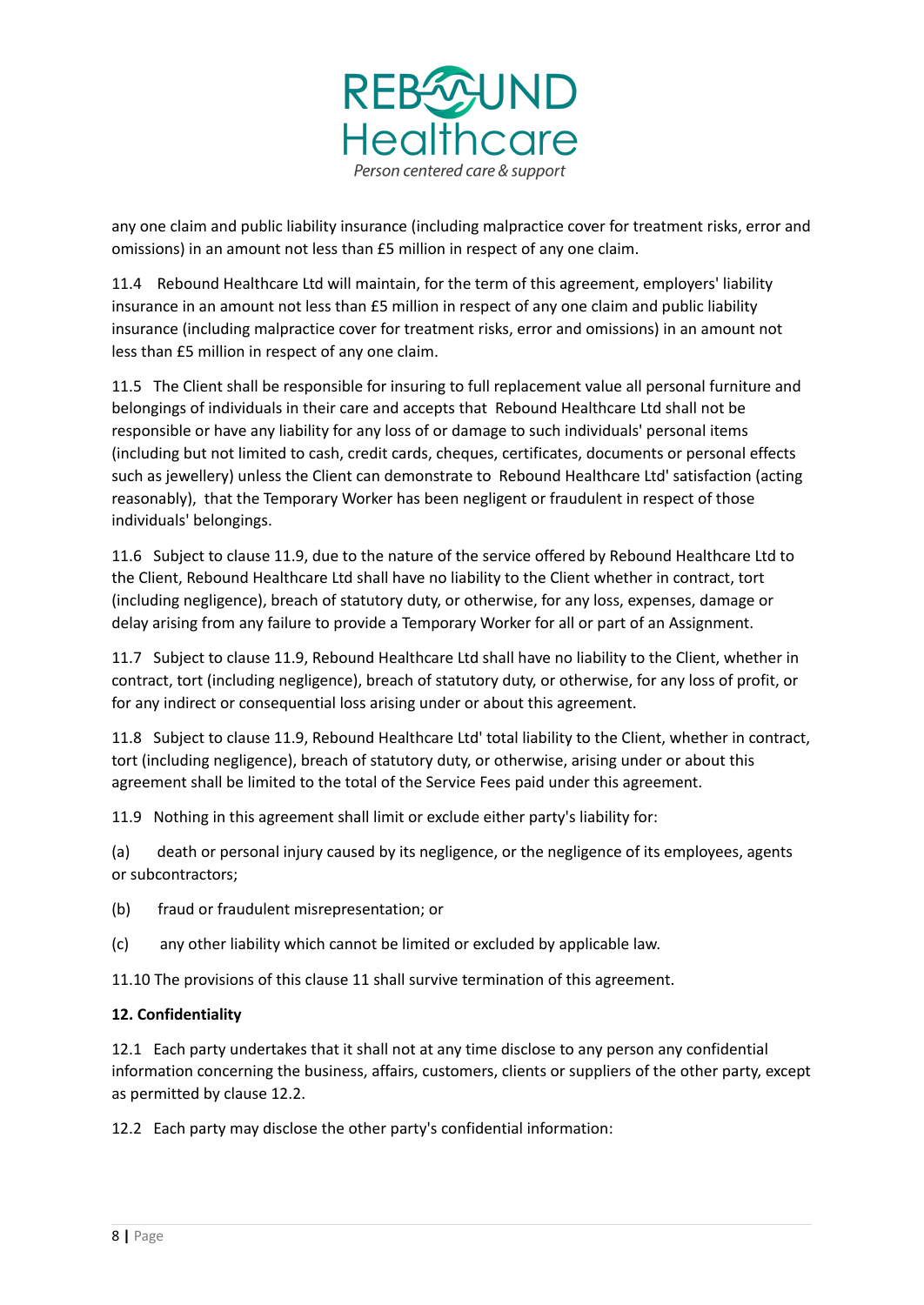

any one claim and public liability insurance (including malpractice cover for treatment risks, error and omissions) in an amount not less than £5 million in respect of any one claim.

11.4 Rebound Healthcare Ltd will maintain, for the term of this agreement, employers' liability insurance in an amount not less than £5 million in respect of any one claim and public liability insurance (including malpractice cover for treatment risks, error and omissions) in an amount not less than £5 million in respect of any one claim.

11.5 The Client shall be responsible for insuring to full replacement value all personal furniture and belongings of individuals in their care and accepts that Rebound Healthcare Ltd shall not be responsible or have any liability for any loss of or damage to such individuals' personal items (including but not limited to cash, credit cards, cheques, certificates, documents or personal effects such as jewellery) unless the Client can demonstrate to Rebound Healthcare Ltd' satisfaction (acting reasonably), that the Temporary Worker has been negligent or fraudulent in respect of those individuals' belongings.

11.6 Subject to clause 11.9, due to the nature of the service offered by Rebound Healthcare Ltd to the Client, Rebound Healthcare Ltd shall have no liability to the Client whether in contract, tort (including negligence), breach of statutory duty, or otherwise, for any loss, expenses, damage or delay arising from any failure to provide a Temporary Worker for all or part of an Assignment.

11.7 Subject to clause 11.9, Rebound Healthcare Ltd shall have no liability to the Client, whether in contract, tort (including negligence), breach of statutory duty, or otherwise, for any loss of profit, or for any indirect or consequential loss arising under or about this agreement.

11.8 Subject to clause 11.9, Rebound Healthcare Ltd' total liability to the Client, whether in contract, tort (including negligence), breach of statutory duty, or otherwise, arising under or about this agreement shall be limited to the total of the Service Fees paid under this agreement.

11.9 Nothing in this agreement shall limit or exclude either party's liability for:

(a) death or personal injury caused by its negligence, or the negligence of its employees, agents or subcontractors;

- (b) fraud or fraudulent misrepresentation; or
- (c) any other liability which cannot be limited or excluded by applicable law.

11.10 The provisions of this clause 11 shall survive termination of this agreement.

# **12. Confidentiality**

12.1 Each party undertakes that it shall not at any time disclose to any person any confidential information concerning the business, affairs, customers, clients or suppliers of the other party, except as permitted by clause 12.2.

12.2 Each party may disclose the other party's confidential information: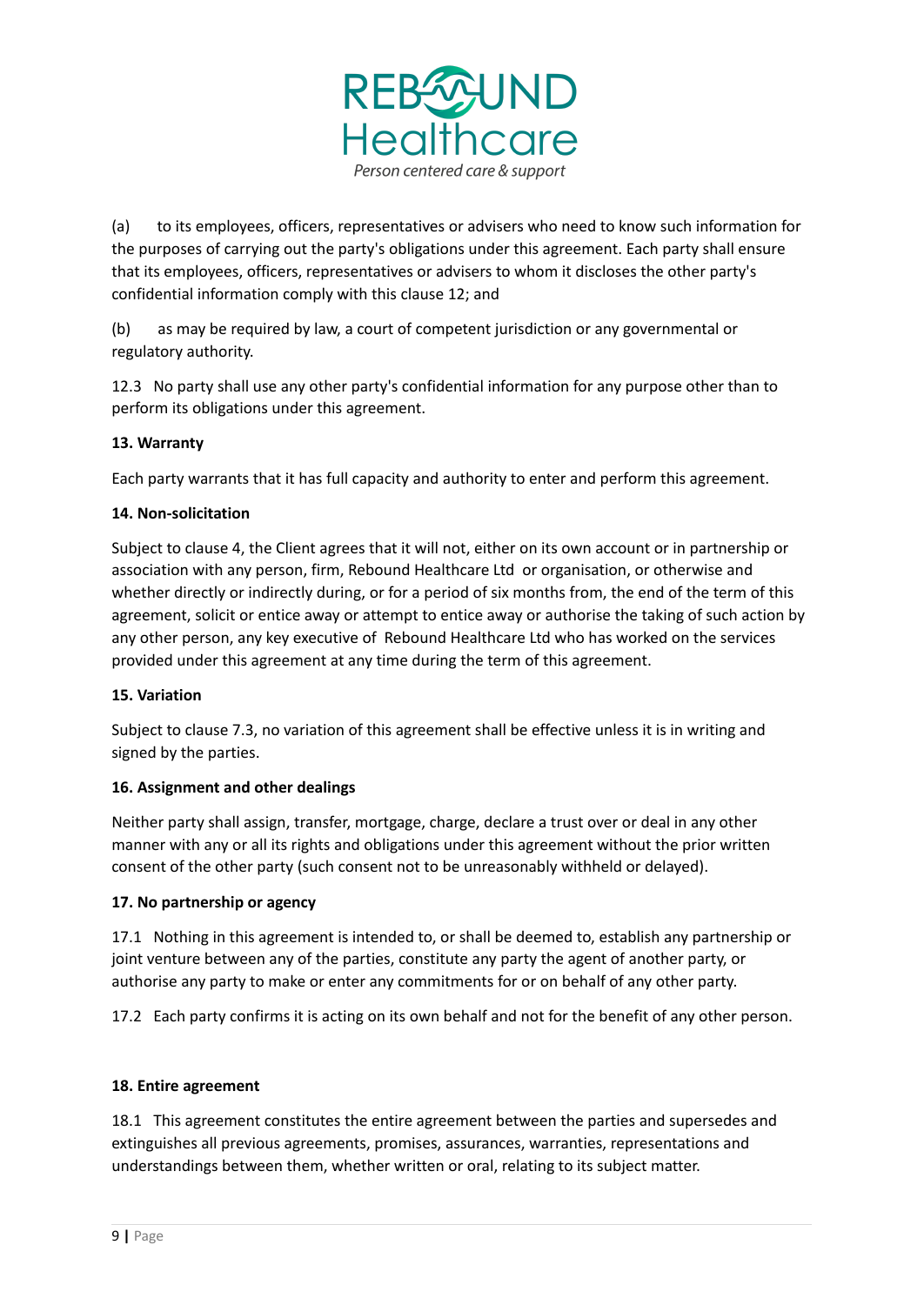

(a) to its employees, officers, representatives or advisers who need to know such information for the purposes of carrying out the party's obligations under this agreement. Each party shall ensure that its employees, officers, representatives or advisers to whom it discloses the other party's confidential information comply with this clause 12; and

(b) as may be required by law, a court of competent jurisdiction or any governmental or regulatory authority.

12.3 No party shall use any other party's confidential information for any purpose other than to perform its obligations under this agreement.

# **13. Warranty**

Each party warrants that it has full capacity and authority to enter and perform this agreement.

#### **14. Non-solicitation**

Subject to clause 4, the Client agrees that it will not, either on its own account or in partnership or association with any person, firm, Rebound Healthcare Ltd or organisation, or otherwise and whether directly or indirectly during, or for a period of six months from, the end of the term of this agreement, solicit or entice away or attempt to entice away or authorise the taking of such action by any other person, any key executive of Rebound Healthcare Ltd who has worked on the services provided under this agreement at any time during the term of this agreement.

#### **15. Variation**

Subject to clause 7.3, no variation of this agreement shall be effective unless it is in writing and signed by the parties.

#### **16. Assignment and other dealings**

Neither party shall assign, transfer, mortgage, charge, declare a trust over or deal in any other manner with any or all its rights and obligations under this agreement without the prior written consent of the other party (such consent not to be unreasonably withheld or delayed).

#### **17. No partnership or agency**

17.1 Nothing in this agreement is intended to, or shall be deemed to, establish any partnership or joint venture between any of the parties, constitute any party the agent of another party, or authorise any party to make or enter any commitments for or on behalf of any other party.

17.2 Each party confirms it is acting on its own behalf and not for the benefit of any other person.

# **18. Entire agreement**

18.1 This agreement constitutes the entire agreement between the parties and supersedes and extinguishes all previous agreements, promises, assurances, warranties, representations and understandings between them, whether written or oral, relating to its subject matter.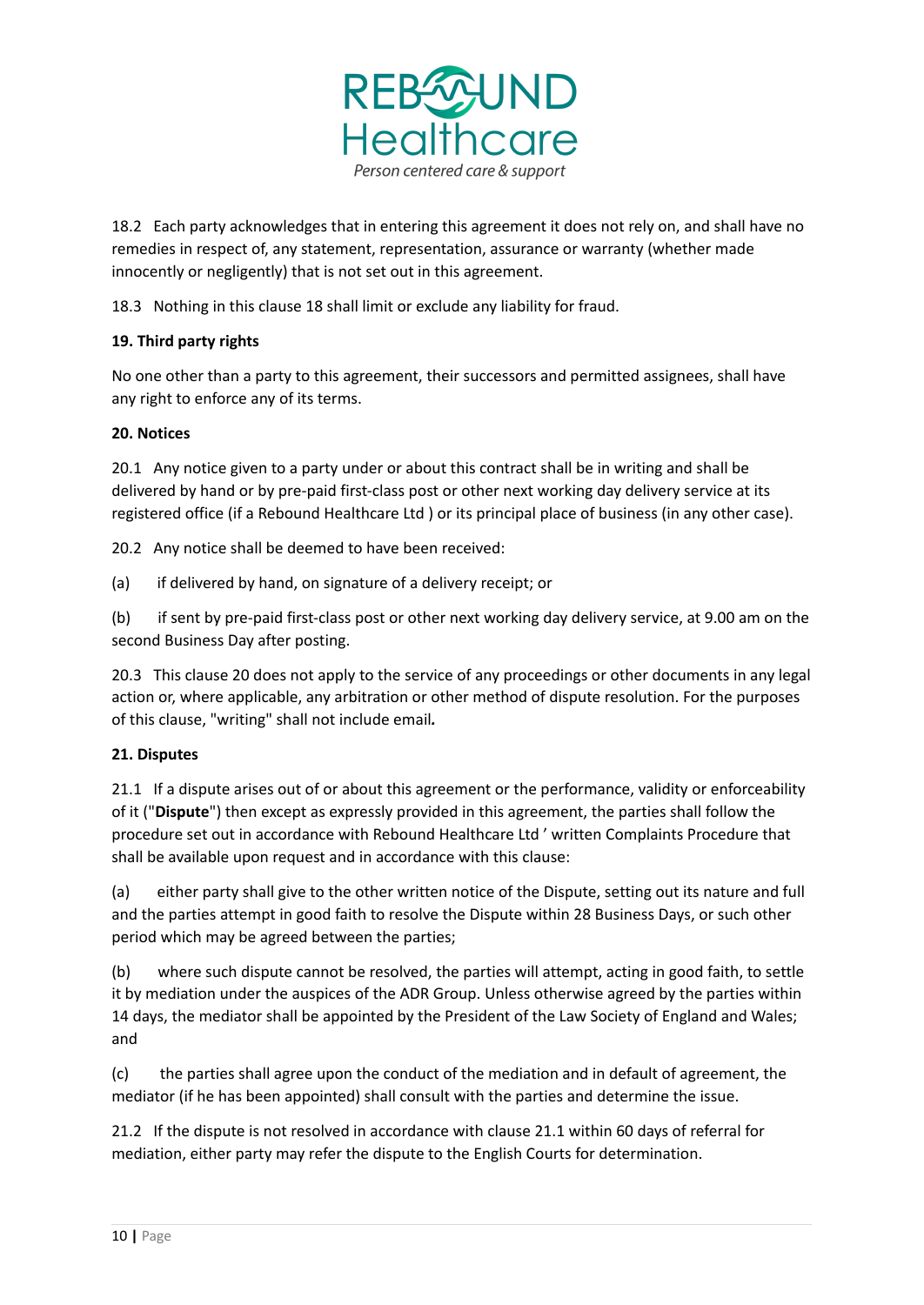

18.2 Each party acknowledges that in entering this agreement it does not rely on, and shall have no remedies in respect of, any statement, representation, assurance or warranty (whether made innocently or negligently) that is not set out in this agreement.

18.3 Nothing in this clause 18 shall limit or exclude any liability for fraud.

# **19. Third party rights**

No one other than a party to this agreement, their successors and permitted assignees, shall have any right to enforce any of its terms.

# **20. Notices**

20.1 Any notice given to a party under or about this contract shall be in writing and shall be delivered by hand or by pre-paid first-class post or other next working day delivery service at its registered office (if a Rebound Healthcare Ltd ) or its principal place of business (in any other case).

20.2 Any notice shall be deemed to have been received:

(a) if delivered by hand, on signature of a delivery receipt; or

(b) if sent by pre-paid first-class post or other next working day delivery service, at 9.00 am on the second Business Day after posting.

20.3 This clause 20 does not apply to the service of any proceedings or other documents in any legal action or, where applicable, any arbitration or other method of dispute resolution. For the purposes of this clause, "writing" shall not include email*.*

# **21. Disputes**

21.1 If a dispute arises out of or about this agreement or the performance, validity or enforceability of it ("**Dispute**") then except as expressly provided in this agreement, the parties shall follow the procedure set out in accordance with Rebound Healthcare Ltd ' written Complaints Procedure that shall be available upon request and in accordance with this clause:

(a) either party shall give to the other written notice of the Dispute, setting out its nature and full and the parties attempt in good faith to resolve the Dispute within 28 Business Days, or such other period which may be agreed between the parties;

(b) where such dispute cannot be resolved, the parties will attempt, acting in good faith, to settle it by mediation under the auspices of the ADR Group. Unless otherwise agreed by the parties within 14 days, the mediator shall be appointed by the President of the Law Society of England and Wales; and

(c) the parties shall agree upon the conduct of the mediation and in default of agreement, the mediator (if he has been appointed) shall consult with the parties and determine the issue.

21.2 If the dispute is not resolved in accordance with clause 21.1 within 60 days of referral for mediation, either party may refer the dispute to the English Courts for determination.